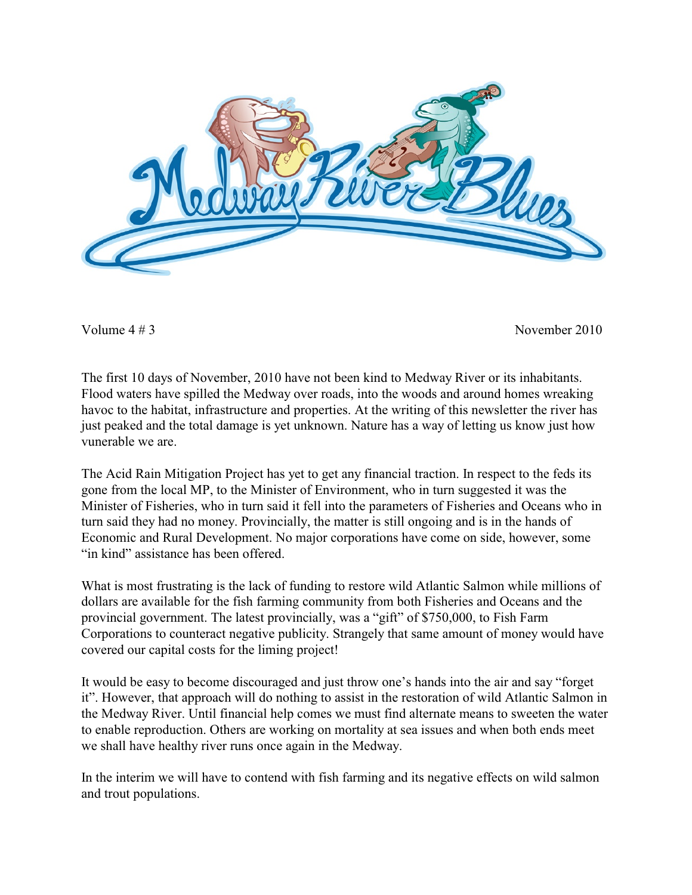

Volume  $4 \# 3$ 

November 2010

The first 10 days of November, 2010 have not been kind to Medway River or its inhabitants. Flood waters have spilled the Medway over roads, into the woods and around homes wreaking havoc to the habitat, infrastructure and properties. At the writing of this newsletter the river has just peaked and the total damage is yet unknown. Nature has a way of letting us know just how vunerable we are.

The Acid Rain Mitigation Project has yet to get any financial traction. In respect to the feds its gone from the local MP, to the Minister of Environment, who in turn suggested it was the Minister of Fisheries, who in turn said it fell into the parameters of Fisheries and Oceans who in turn said they had no money. Provincially, the matter is still ongoing and is in the hands of Economic and Rural Development. No major corporations have come on side, however, some "in kind" assistance has been offered.

What is most frustrating is the lack of funding to restore wild Atlantic Salmon while millions of dollars are available for the fish farming community from both Fisheries and Oceans and the provincial government. The latest provincially, was a "gift" of \$750,000, to Fish Farm Corporations to counteract negative publicity. Strangely that same amount of money would have covered our capital costs for the liming project!

It would be easy to become discouraged and just throw one's hands into the air and say "forget" it". However, that approach will do nothing to assist in the restoration of wild Atlantic Salmon in the Medway River. Until financial help comes we must find alternate means to sweeten the water to enable reproduction. Others are working on mortality at sea issues and when both ends meet we shall have healthy river runs once again in the Medway.

In the interim we will have to contend with fish farming and its negative effects on wild salmon and trout populations.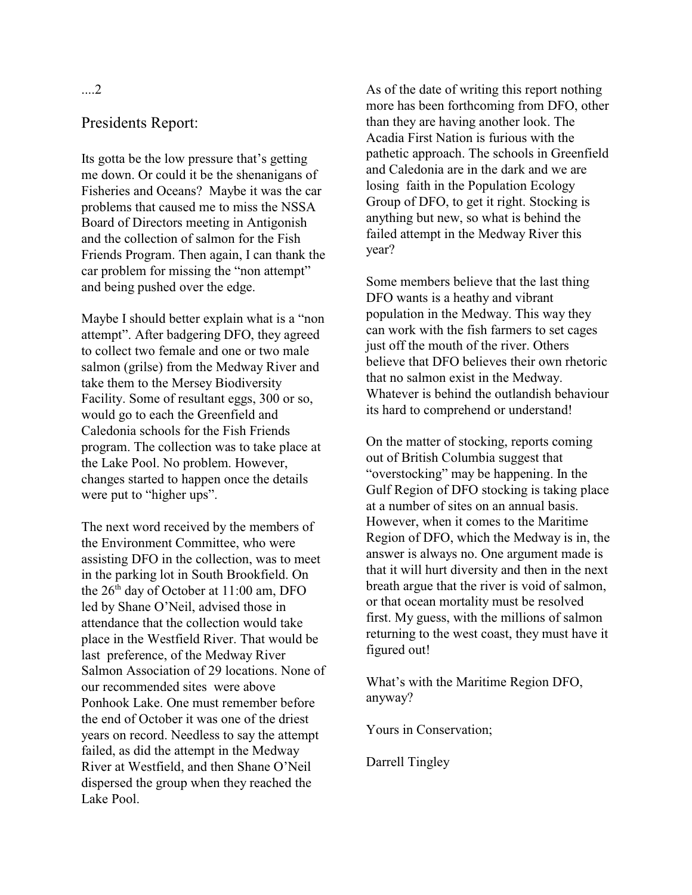## Presidents Report:

Its gotta be the low pressure that's getting me down. Or could it be the shenanigans of Fisheries and Oceans? Maybe it was the car problems that caused me to miss the NSSA Board of Directors meeting in Antigonish and the collection of salmon for the Fish Friends Program. Then again, I can thank the car problem for missing the "non attempt" and being pushed over the edge.

Maybe I should better explain what is a "non attempt". After badgering DFO, they agreed to collect two female and one or two male salmon (grilse) from the Medway River and take them to the Mersey Biodiversity Facility. Some of resultant eggs, 300 or so. would go to each the Greenfield and Caledonia schools for the Fish Friends program. The collection was to take place at the Lake Pool. No problem. However, changes started to happen once the details were put to "higher ups".

The next word received by the members of the Environment Committee, who were assisting DFO in the collection, was to meet in the parking lot in South Brookfield. On the 26<sup>th</sup> day of October at 11:00 am, DFO led by Shane O'Neil, advised those in attendance that the collection would take place in the Westfield River. That would be last preference, of the Medway River Salmon Association of 29 locations. None of our recommended sites were above Ponhook Lake. One must remember before the end of October it was one of the driest years on record. Needless to say the attempt failed, as did the attempt in the Medway River at Westfield, and then Shane O'Neil dispersed the group when they reached the Lake Pool.

As of the date of writing this report nothing more has been forthcoming from DFO, other than they are having another look. The Acadia First Nation is furious with the pathetic approach. The schools in Greenfield and Caledonia are in the dark and we are losing faith in the Population Ecology Group of DFO, to get it right. Stocking is anything but new, so what is behind the failed attempt in the Medway River this vear?

Some members believe that the last thing DFO wants is a heathy and vibrant population in the Medway. This way they can work with the fish farmers to set cages just off the mouth of the river. Others believe that DFO believes their own rhetoric that no salmon exist in the Medway. Whatever is behind the outlandish behaviour its hard to comprehend or understand!

On the matter of stocking, reports coming out of British Columbia suggest that "overstocking" may be happening. In the Gulf Region of DFO stocking is taking place at a number of sites on an annual basis. However, when it comes to the Maritime Region of DFO, which the Medway is in, the answer is always no. One argument made is that it will hurt diversity and then in the next breath argue that the river is void of salmon, or that ocean mortality must be resolved first. My guess, with the millions of salmon returning to the west coast, they must have it figured out!

What's with the Maritime Region DFO, anyway?

Yours in Conservation;

Darrell Tingley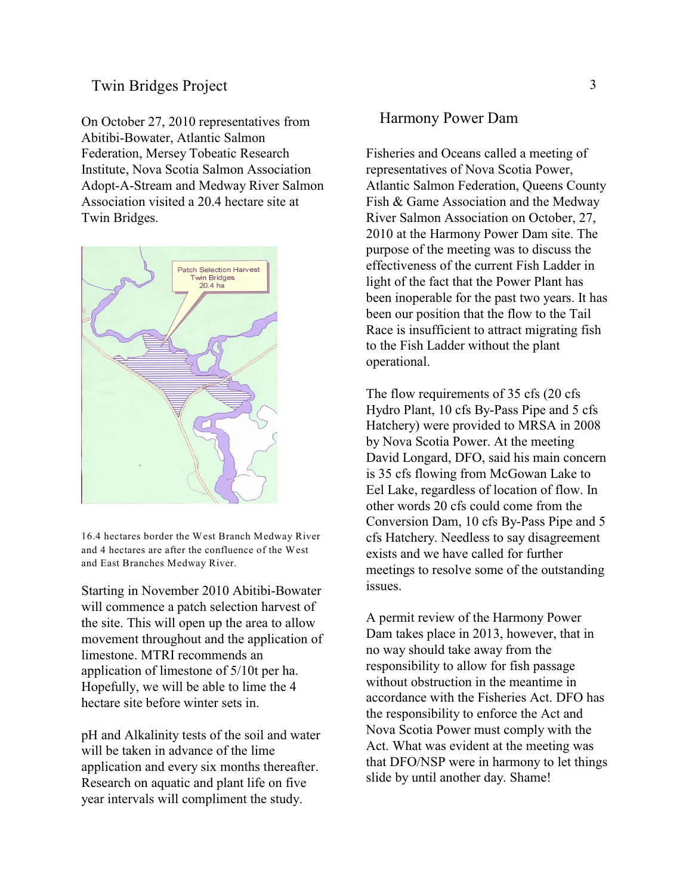## **Twin Bridges Project**

On October 27, 2010 representatives from Abitibi-Bowater, Atlantic Salmon Federation, Mersey Tobeatic Research Institute, Nova Scotia Salmon Association Adopt-A-Stream and Medway River Salmon Association visited a 20.4 hectare site at Twin Bridges.



16.4 hectares border the West Branch Medway River and 4 hectares are after the confluence of the West and East Branches Medway River.

Starting in November 2010 Abitibi-Bowater will commence a patch selection harvest of the site. This will open up the area to allow movement throughout and the application of limestone. MTRI recommends an application of limestone of 5/10t per ha. Hopefully, we will be able to lime the 4 hectare site before winter sets in.

pH and Alkalinity tests of the soil and water will be taken in advance of the lime application and every six months thereafter. Research on aquatic and plant life on five year intervals will compliment the study.

#### Harmony Power Dam

Fisheries and Oceans called a meeting of representatives of Nova Scotia Power, Atlantic Salmon Federation, Queens County Fish & Game Association and the Medway River Salmon Association on October, 27, 2010 at the Harmony Power Dam site. The purpose of the meeting was to discuss the effectiveness of the current Fish Ladder in light of the fact that the Power Plant has been inoperable for the past two years. It has been our position that the flow to the Tail Race is insufficient to attract migrating fish to the Fish Ladder without the plant operational.

The flow requirements of 35 cfs (20 cfs) Hydro Plant, 10 cfs By-Pass Pipe and 5 cfs Hatchery) were provided to MRSA in 2008 by Nova Scotia Power. At the meeting David Longard, DFO, said his main concern is 35 cfs flowing from McGowan Lake to Eel Lake, regardless of location of flow. In other words 20 cfs could come from the Conversion Dam, 10 cfs By-Pass Pipe and 5 cfs Hatchery. Needless to say disagreement exists and we have called for further meetings to resolve some of the outstanding issues.

A permit review of the Harmony Power Dam takes place in 2013, however, that in no way should take away from the responsibility to allow for fish passage without obstruction in the meantime in accordance with the Fisheries Act. DFO has the responsibility to enforce the Act and Nova Scotia Power must comply with the Act. What was evident at the meeting was that DFO/NSP were in harmony to let things slide by until another day. Shame!